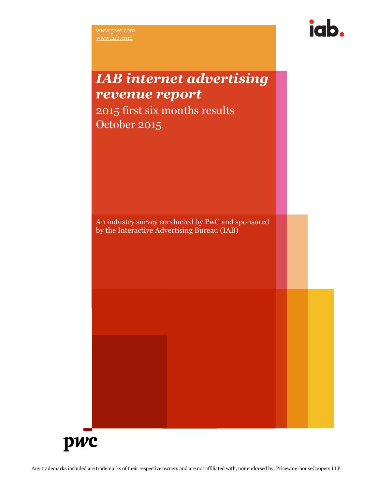

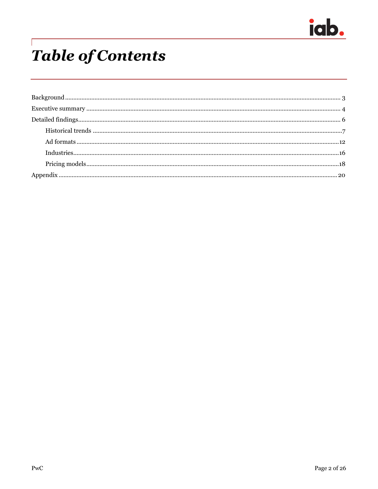

## **Table of Contents**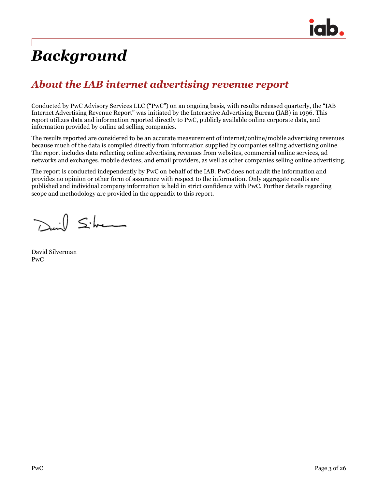

## *Background*

### *About the IAB internet advertising revenue report*

Conducted by PwC Advisory Services LLC ("PwC") on an ongoing basis, with results released quarterly, the "IAB Internet Advertising Revenue Report" was initiated by the Interactive Advertising Bureau (IAB) in 1996. This report utilizes data and information reported directly to PwC, publicly available online corporate data, and information provided by online ad selling companies.

The results reported are considered to be an accurate measurement of internet/online/mobile advertising revenues because much of the data is compiled directly from information supplied by companies selling advertising online. The report includes data reflecting online advertising revenues from websites, commercial online services, ad networks and exchanges, mobile devices, and email providers, as well as other companies selling online advertising.

The report is conducted independently by PwC on behalf of the IAB. PwC does not audit the information and provides no opinion or other form of assurance with respect to the information. Only aggregate results are published and individual company information is held in strict confidence with PwC. Further details regarding scope and methodology are provided in the appendix to this report.

David Silver

David Silverman PwC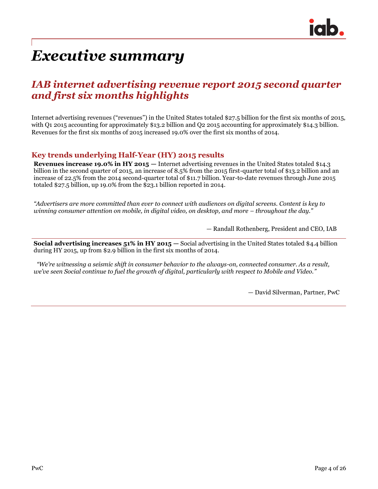

## *Executive summary*

### *IAB internet advertising revenue report 2015 second quarter and first six months highlights*

Internet advertising revenues ("revenues") in the United States totaled \$27.5 billion for the first six months of 2015, with Q1 2015 accounting for approximately \$13.2 billion and Q2 2015 accounting for approximately \$14.3 billion. Revenues for the first six months of 2015 increased 19.0% over the first six months of 2014.

### **Key trends underlying Half-Year (HY) 2015 results**

**Revenues increase 19.0% in HY 2015 —** Internet advertising revenues in the United States totaled \$14.3 billion in the second quarter of 2015, an increase of 8.5% from the 2015 first-quarter total of \$13.2 billion and an increase of 22.5% from the 2014 second-quarter total of \$11.7 billion. Year-to-date revenues through June 2015 totaled \$27.5 billion, up 19.0% from the \$23.1 billion reported in 2014.

*"Advertisers are more committed than ever to connect with audiences on digital screens. Content is key to winning consumer attention on mobile, in digital video, on desktop, and more – throughout the day."*

— Randall Rothenberg, President and CEO, IAB

**Social advertising increases 51% in HY 2015 —** Social advertising in the United States totaled \$4.4 billion during HY 2015, up from \$2.9 billion in the first six months of 2014.

*"We're witnessing a seismic shift in consumer behavior to the always-on, connected consumer. As a result, we've seen Social continue to fuel the growth of digital, particularly with respect to Mobile and Video."*

— David Silverman, Partner, PwC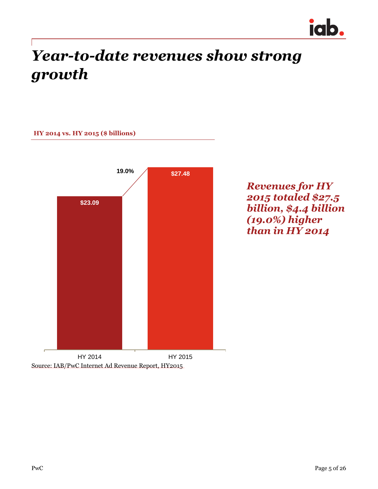

## *Year-to-date revenues show strong growth*



*Revenues for HY 2015 totaled \$27.5 billion, \$4.4 billion (19.0%) higher than in HY 2014*

Source: IAB/PwC Internet Ad Revenue Report, HY2015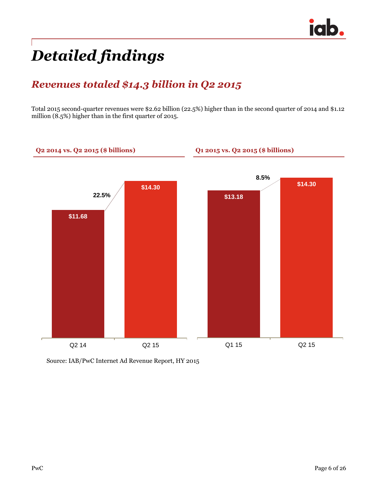## *Detailed findings*

### *Revenues totaled \$14.3 billion in Q2 2015*

Total 2015 second-quarter revenues were \$2.62 billion (22.5%) higher than in the second quarter of 2014 and \$1.12 million (8.5%) higher than in the first quarter of 2015.



Source: IAB/PwC Internet Ad Revenue Report, HY 2015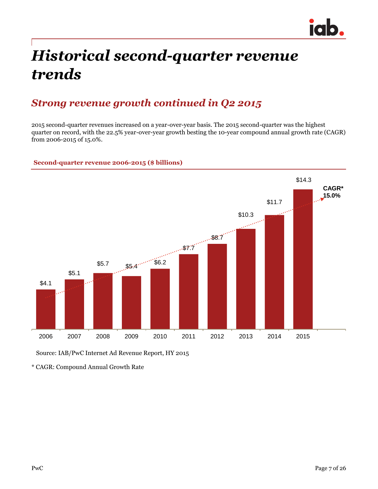

## *Historical second-quarter revenue trends*

### *Strong revenue growth continued in Q2 2015*

2015 second-quarter revenues increased on a year-over-year basis. The 2015 second-quarter was the highest quarter on record, with the 22.5% year-over-year growth besting the 10-year compound annual growth rate (CAGR) from 2006-2015 of 15.0%.

#### **Second-quarter revenue 2006-2015 (\$ billions)**



Source: IAB/PwC Internet Ad Revenue Report, HY 2015

\* CAGR: Compound Annual Growth Rate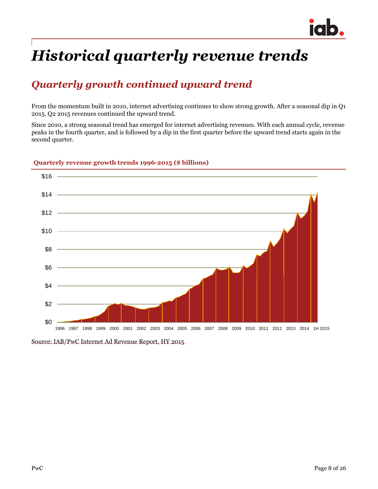

## *Historical quarterly revenue trends*

### *Quarterly growth continued upward trend*

From the momentum built in 2010, internet advertising continues to show strong growth. After a seasonal dip in Q1 2015, Q2 2015 revenues continued the upward trend.

Since 2010, a strong seasonal trend has emerged for internet advertising revenues. With each annual cycle, revenue peaks in the fourth quarter, and is followed by a dip in the first quarter before the upward trend starts again in the second quarter.



#### **Quarterly revenue growth trends 1996-2015 (\$ billions)**

Source: IAB/PwC Internet Ad Revenue Report, HY 2015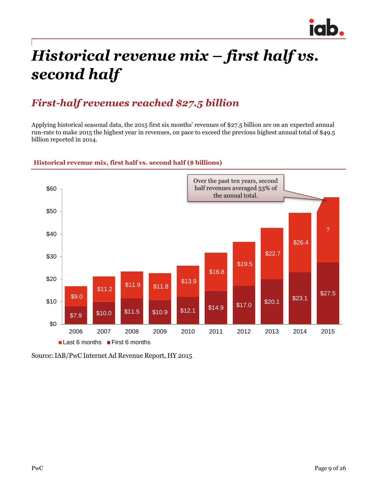

## *Historical revenue mix – first half vs. second half*

### *First-half revenues reached \$27.5 billion*

Applying historical seasonal data, the 2015 first six months' revenues of \$27.5 billion are on an expected annual run-rate to make 2015 the highest year in revenues, on pace to exceed the previous highest annual total of \$49.5 billion reported in 2014.



#### **Historical revenue mix, first half vs. second half (\$ billions)**

Source: IAB/PwC Internet Ad Revenue Report, HY 2015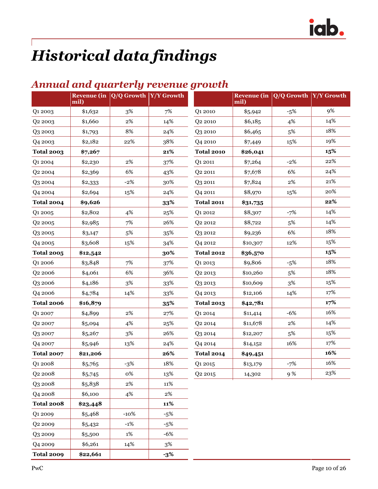## *Historical data findings*

### *Annual and quarterly revenue growth*

|                     | mil)     | Revenue (in $ Q/Q$ Growth $ Y/Y$ Growth |        |                     | mil)     | Revenue (in $\sqrt{Q/Q}$ Growth | Y/Y Growth |
|---------------------|----------|-----------------------------------------|--------|---------------------|----------|---------------------------------|------------|
| Q1 2003             | \$1,632  | 3%                                      | 7%     | Q1 2010             | \$5,942  | $-5%$                           | 9%         |
| Q <sub>2</sub> 2003 | \$1,660  | $2\%$                                   | 14%    | Q <sub>2</sub> 2010 | \$6,185  | 4%                              | 14%        |
| Q3 2003             | \$1,793  | 8%                                      | 24%    | Q3 2010             | \$6,465  | 5%                              | 18%        |
| Q4 2003             | \$2,182  | 22%                                     | 38%    | Q4 2010             | \$7,449  | 15%                             | 19%        |
| <b>Total 2003</b>   | \$7,267  |                                         | 21%    | <b>Total 2010</b>   | \$26,041 |                                 | 15%        |
| Q1 2004             | \$2,230  | $2\%$                                   | 37%    | Q1 2011             | \$7,264  | $-2%$                           | 22%        |
| Q <sub>2</sub> 2004 | \$2,369  | 6%                                      | 43%    | Q2 2011             | \$7,678  | 6%                              | 24%        |
| Q3 2004             | \$2,333  | $-2%$                                   | 30%    | Q3 2011             | \$7,824  | $2\%$                           | 21%        |
| Q4 2004             | \$2,694  | 15%                                     | 24%    | Q4 2011             | \$8,970  | 15%                             | 20%        |
| <b>Total 2004</b>   | \$9,626  |                                         | 33%    | <b>Total 2011</b>   | \$31,735 |                                 | 22%        |
| Q1 2005             | \$2,802  | 4%                                      | 25%    | Q1 2012             | \$8,307  | $-7%$                           | 14%        |
| Q <sub>2</sub> 2005 | \$2,985  | 7%                                      | 26%    | Q2 2012             | \$8,722  | 5%                              | 14%        |
| Q3 2005             | \$3,147  | $5\%$                                   | 35%    | Q3 2012             | \$9,236  | 6%                              | 18%        |
| Q4 2005             | \$3,608  | 15%                                     | 34%    | Q4 2012             | \$10,307 | 12%                             | 15%        |
| <b>Total 2005</b>   | \$12,542 |                                         | 30%    | <b>Total 2012</b>   | \$36,570 |                                 | 15%        |
| Q1 2006             | \$3,848  | 7%                                      | 37%    | Q1 2013             | \$9,806  | $-5%$                           | 18%        |
| Q <sub>2</sub> 2006 | \$4,061  | 6%                                      | 36%    | Q <sub>2</sub> 2013 | \$10,260 | 5%                              | 18%        |
| Q3 2006             | \$4,186  | 3%                                      | 33%    | Q3 2013             | \$10,609 | $3\%$                           | 15%        |
| Q4 2006             | \$4,784  | 14%                                     | 33%    | Q4 2013             | \$12,106 | 14%                             | 17%        |
| <b>Total 2006</b>   | \$16,879 |                                         | 35%    | <b>Total 2013</b>   | \$42,781 |                                 | 17%        |
| Q1 2007             | \$4,899  | $2\%$                                   | 27%    | Q1 2014             | \$11,414 | $-6%$                           | 16%        |
| Q <sub>2</sub> 2007 | \$5,094  | 4%                                      | 25%    | Q <sub>2</sub> 2014 | \$11,678 | 2%                              | 14%        |
| Q3 2007             | \$5,267  | $3\%$                                   | 26%    | Q3 2014             | \$12,207 | 5%                              | 15%        |
| Q4 2007             | \$5,946  | 13%                                     | 24%    | Q4 2014             | \$14,152 | 16%                             | 17%        |
| <b>Total 2007</b>   | \$21,206 |                                         | 26%    | <b>Total 2014</b>   | \$49,451 |                                 | 16%        |
| Q1 2008             | \$5,765  | $-3%$                                   | 18%    | Q1 2015             | \$13,179 | $-7%$                           | 16%        |
| Q <sub>2</sub> 2008 | \$5,745  | 0%                                      | 13%    | Q <sub>2</sub> 2015 | 14,302   | 9%                              | 23%        |
| Q3 2008             | \$5,838  | $2\%$                                   | $11\%$ |                     |          |                                 |            |
| Q4 2008             | \$6,100  | 4%                                      | $2\%$  |                     |          |                                 |            |
| <b>Total 2008</b>   | \$23,448 |                                         | 11%    |                     |          |                                 |            |
| Q1 2009             | \$5,468  | $-10%$                                  | $-5%$  |                     |          |                                 |            |
| Q2 2009             | \$5,432  | $-1%$                                   | $-5%$  |                     |          |                                 |            |
| Q3 2009             | \$5,500  | 1%                                      | $-6%$  |                     |          |                                 |            |
| Q4 2009             | \$6,261  | 14%                                     | $3\%$  |                     |          |                                 |            |

**Total 2009 \$22,661 -3%**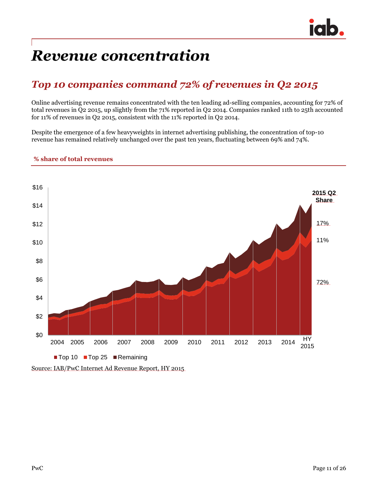## *Revenue concentration*

## *Top 10 companies command 72% of revenues in Q2 2015*

Online advertising revenue remains concentrated with the ten leading ad-selling companies, accounting for 72% of total revenues in Q2 2015, up slightly from the 71% reported in Q2 2014. Companies ranked 11th to 25th accounted for 11% of revenues in Q2 2015, consistent with the 11% reported in Q2 2014.

Despite the emergence of a few heavyweights in internet advertising publishing, the concentration of top-10 revenue has remained relatively unchanged over the past ten years, fluctuating between 69% and 74%.



#### **% share of total revenues**

Source: IAB/PwC Internet Ad Revenue Report, HY 2015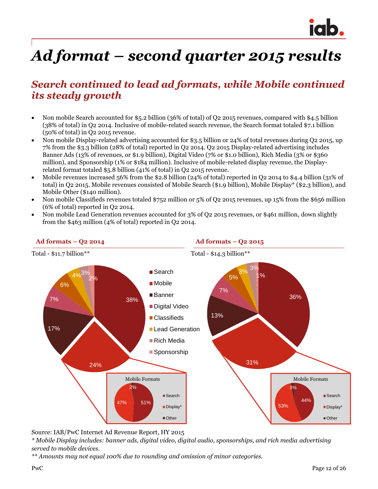

## *Ad format – second quarter 2015 results*

### *Search continued to lead ad formats, while Mobile continued its steady growth*

- Non mobile Search accounted for \$5.2 billion (36% of total) of Q2 2015 revenues, compared with \$4.5 billion (38% of total) in Q2 2014. Inclusive of mobile-related search revenue, the Search format totaled \$7.1 billion (50% of total) in Q2 2015 revenue.
- Non mobile Display-related advertising accounted for \$3.5 billion or 24% of total revenues during Q2 2015, up 7% from the \$3.3 billion (28% of total) reported in Q2 2014. Q2 2015 Display-related advertising includes Banner Ads (13% of revenues, or \$1.9 billion), Digital Video (7% or \$1.0 billion), Rich Media (3% or \$360 million), and Sponsorship (1% or \$184 million). Inclusive of mobile-related display revenue, the Displayrelated format totaled \$5.8 billion (41% of total) in Q2 2015 revenue.
- Mobile revenues increased 56% from the \$2.8 billion (24% of total) reported in Q2 2014 to \$4.4 billion (31% of total) in Q2 2015. Mobile revenues consisted of Mobile Search (\$1.9 billion), Mobile Display\* (\$2.3 billion), and Mobile Other (\$140 million).
- Non mobile Classifieds revenues totaled \$752 million or 5% of Q2 2015 revenues, up 15% from the \$656 million (6% of total) reported in Q2 2014.
- Non mobile Lead Generation revenues accounted for 3% of Q2 2015 revenues, or \$461 million, down slightly from the \$463 million (4% of total) reported in Q2 2014.



Source: IAB/PwC Internet Ad Revenue Report, HY 2015

*\* Mobile Display includes: banner ads, digital video, digital audio, sponsorships, and rich media advertising served to mobile devices.*

*\*\* Amounts may not equal 100% due to rounding and omission of minor categories.*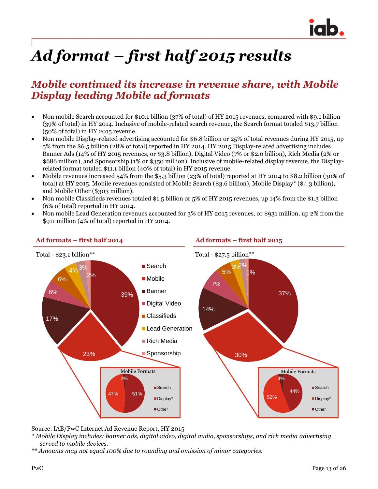

# *Ad format – first half 2015 results*

### *Mobile continued its increase in revenue share, with Mobile Display leading Mobile ad formats*

- Non mobile Search accounted for \$10.1 billion (37% of total) of HY 2015 revenues, compared with \$9.1 billion (39% of total) in HY 2014. Inclusive of mobile-related search revenue, the Search format totaled \$13.7 billion (50% of total) in HY 2015 revenue.
- Non mobile Display-related advertising accounted for \$6.8 billion or 25% of total revenues during HY 2015, up 5% from the \$6.5 billion (28% of total) reported in HY 2014. HY 2015 Display-related advertising includes Banner Ads (14% of HY 2015 revenues, or \$3.8 billion), Digital Video (7% or \$2.0 billion), Rich Media (2% or \$686 million), and Sponsorship (1% or \$350 million). Inclusive of mobile-related display revenue, the Displayrelated format totaled \$11.1 billion (40% of total) in HY 2015 revenue.
- Mobile revenues increased 54% from the \$5.3 billion (23% of total) reported at HY 2014 to \$8.2 billion (30% of total) at HY 2015. Mobile revenues consisted of Mobile Search (\$3.6 billion), Mobile Display\* (\$4.3 billion), and Mobile Other (\$303 million).
- Non mobile Classifieds revenues totaled \$1.5 billion or 5% of HY 2015 revenues, up 14% from the \$1.3 billion (6% of total) reported in HY 2014.
- Non mobile Lead Generation revenues accounted for 3% of HY 2015 revenues, or \$931 million, up 2% from the \$911 million (4% of total) reported in HY 2014.



#### **Ad formats – first half 2014 Ad formats – first half 2015**

Source: IAB/PwC Internet Ad Revenue Report, HY 2015

- *\* Mobile Display includes: banner ads, digital video, digital audio, sponsorships, and rich media advertising served to mobile devices.*
- *\*\* Amounts may not equal 100% due to rounding and omission of minor categories.*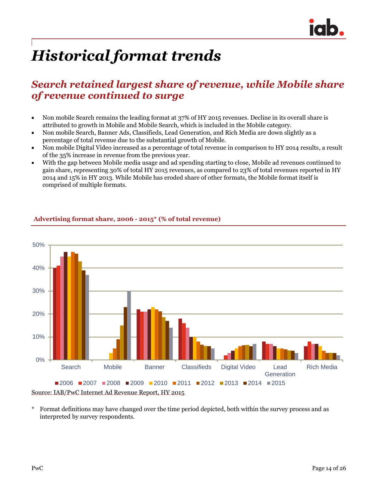

## *Historical format trends*

### *Search retained largest share of revenue, while Mobile share of revenue continued to surge*

- Non mobile Search remains the leading format at 37% of HY 2015 revenues. Decline in its overall share is attributed to growth in Mobile and Mobile Search, which is included in the Mobile category.
- Non mobile Search, Banner Ads, Classifieds, Lead Generation, and Rich Media are down slightly as a percentage of total revenue due to the substantial growth of Mobile.
- Non mobile Digital Video increased as a percentage of total revenue in comparison to HY 2014 results, a result of the 35% increase in revenue from the previous year.
- With the gap between Mobile media usage and ad spending starting to close, Mobile ad revenues continued to gain share, representing 30% of total HY 2015 revenues, as compared to 23% of total revenues reported in HY 2014 and 15% in HY 2013. While Mobile has eroded share of other formats, the Mobile format itself is comprised of multiple formats.



#### **Advertising format share, 2006 - 2015\* (% of total revenue)**

Source: IAB/PwC Internet Ad Revenue Report, HY 2015

\* Format definitions may have changed over the time period depicted, both within the survey process and as interpreted by survey respondents.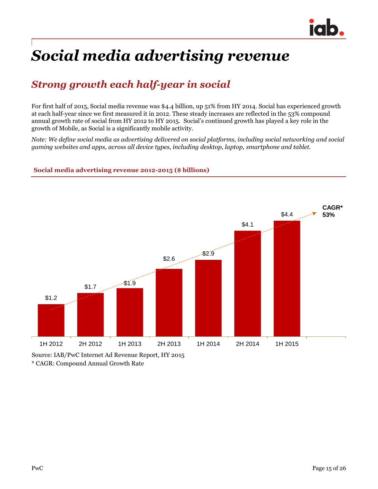

## *Social media advertising revenue*

## *Strong growth each half-year in social*

For first half of 2015, Social media revenue was \$4.4 billion, up 51% from HY 2014. Social has experienced growth at each half-year since we first measured it in 2012. These steady increases are reflected in the 53% compound annual growth rate of social from HY 2012 to HY 2015. Social's continued growth has played a key role in the growth of Mobile, as Social is a significantly mobile activity.

*Note: We define social media as advertising delivered on social platforms, including social networking and social gaming websites and apps, across all device types, including desktop, laptop, smartphone and tablet.*

**Social media advertising revenue 2012-2015 (\$ billions)**



\* CAGR: Compound Annual Growth Rate Source: IAB/PwC Internet Ad Revenue Report, HY 2015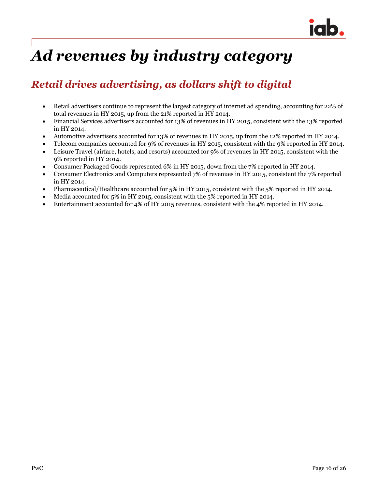

## *Ad revenues by industry category*

### *Retail drives advertising, as dollars shift to digital*

- Retail advertisers continue to represent the largest category of internet ad spending, accounting for 22% of total revenues in HY 2015, up from the 21% reported in HY 2014.
- Financial Services advertisers accounted for 13% of revenues in HY 2015, consistent with the 13% reported in HY 2014.
- Automotive advertisers accounted for 13% of revenues in HY 2015, up from the 12% reported in HY 2014.
- Telecom companies accounted for 9% of revenues in HY 2015, consistent with the 9% reported in HY 2014.
- Leisure Travel (airfare, hotels, and resorts) accounted for 9% of revenues in HY 2015, consistent with the 9% reported in HY 2014.
- Consumer Packaged Goods represented 6% in HY 2015, down from the 7% reported in HY 2014.
- Consumer Electronics and Computers represented 7% of revenues in HY 2015, consistent the 7% reported in HY 2014.
- Pharmaceutical/Healthcare accounted for 5% in HY 2015, consistent with the 5% reported in HY 2014.
- Media accounted for 5% in HY 2015, consistent with the 5% reported in HY 2014.
- Entertainment accounted for 4% of HY 2015 revenues, consistent with the 4% reported in HY 2014.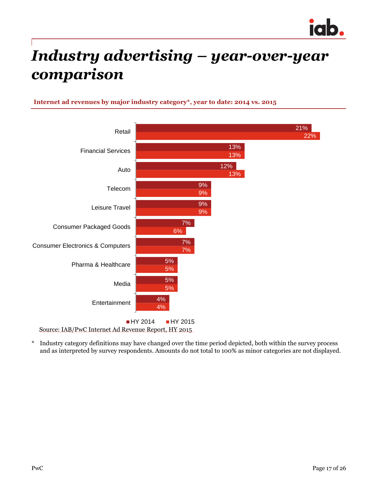

## *Industry advertising – year-over-year comparison*

#### **Internet ad revenues by major industry category\*, year to date: 2014 vs. 2015**



Source: IAB/PwC Internet Ad Revenue Report, HY 2015

\* Industry category definitions may have changed over the time period depicted, both within the survey process and as interpreted by survey respondents. Amounts do not total to 100% as minor categories are not displayed.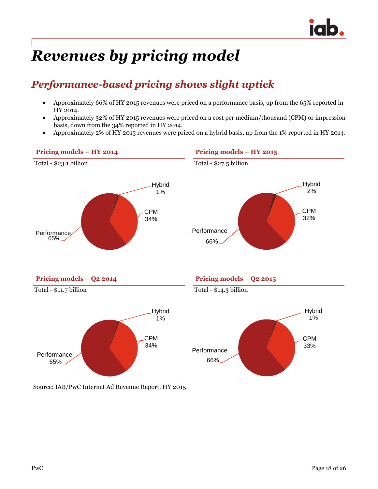## *Revenues by pricing model*

## *Performance-based pricing shows slight uptick*

- Approximately 66% of HY 2015 revenues were priced on a performance basis, up from the 65% reported in HY 2014.
- Approximately 32% of HY 2015 revenues were priced on a cost per medium/thousand (CPM) or impression basis, down from the 34% reported in HY 2014.
- Approximately 2% of HY 2015 revenues were priced on a hybrid basis, up from the 1% reported in HY 2014.



Source: IAB/PwC Internet Ad Revenue Report, HY 2015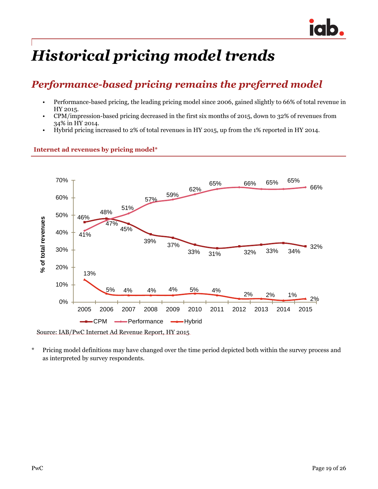

## *Historical pricing model trends*

### *Performance-based pricing remains the preferred model*

- Performance-based pricing, the leading pricing model since 2006, gained slightly to 66% of total revenue in HY 2015.
- CPM/impression-based pricing decreased in the first six months of 2015, down to 32% of revenues from 34% in HY 2014.
- Hybrid pricing increased to 2% of total revenues in HY 2015, up from the 1% reported in HY 2014.



#### **Internet ad revenues by pricing model\***

Source: IAB/PwC Internet Ad Revenue Report, HY 2015

\* Pricing model definitions may have changed over the time period depicted both within the survey process and as interpreted by survey respondents.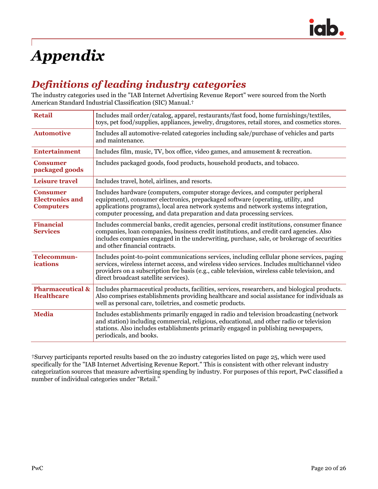

# *Appendix*

### *Definitions of leading industry categories*

The industry categories used in the "IAB Internet Advertising Revenue Report" were sourced from the North American Standard Industrial Classification (SIC) Manual.†

| <b>Retail</b>                                                 | Includes mail order/catalog, apparel, restaurants/fast food, home furnishings/textiles,<br>toys, pet food/supplies, appliances, jewelry, drugstores, retail stores, and cosmetics stores.                                                                                                                                            |
|---------------------------------------------------------------|--------------------------------------------------------------------------------------------------------------------------------------------------------------------------------------------------------------------------------------------------------------------------------------------------------------------------------------|
| <b>Automotive</b>                                             | Includes all automotive-related categories including sale/purchase of vehicles and parts<br>and maintenance.                                                                                                                                                                                                                         |
| <b>Entertainment</b>                                          | Includes film, music, TV, box office, video games, and amusement & recreation.                                                                                                                                                                                                                                                       |
| <b>Consumer</b><br>packaged goods                             | Includes packaged goods, food products, household products, and tobacco.                                                                                                                                                                                                                                                             |
| <b>Leisure travel</b>                                         | Includes travel, hotel, airlines, and resorts.                                                                                                                                                                                                                                                                                       |
| <b>Consumer</b><br><b>Electronics and</b><br><b>Computers</b> | Includes hardware (computers, computer storage devices, and computer peripheral<br>equipment), consumer electronics, prepackaged software (operating, utility, and<br>applications programs), local area network systems and network systems integration,<br>computer processing, and data preparation and data processing services. |
| <b>Financial</b><br><b>Services</b>                           | Includes commercial banks, credit agencies, personal credit institutions, consumer finance<br>companies, loan companies, business credit institutions, and credit card agencies. Also<br>includes companies engaged in the underwriting, purchase, sale, or brokerage of securities<br>and other financial contracts.                |
| Telecommun-<br>ications                                       | Includes point-to-point communications services, including cellular phone services, paging<br>services, wireless internet access, and wireless video services. Includes multichannel video<br>providers on a subscription fee basis (e.g., cable television, wireless cable television, and<br>direct broadcast satellite services). |
| <b>Pharmaceutical &amp;</b><br><b>Healthcare</b>              | Includes pharmaceutical products, facilities, services, researchers, and biological products.<br>Also comprises establishments providing healthcare and social assistance for individuals as<br>well as personal care, toiletries, and cosmetic products.                                                                            |
| <b>Media</b>                                                  | Includes establishments primarily engaged in radio and television broadcasting (network<br>and station) including commercial, religious, educational, and other radio or television<br>stations. Also includes establishments primarily engaged in publishing newspapers,<br>periodicals, and books.                                 |

†Survey participants reported results based on the 20 industry categories listed on page 25, which were used specifically for the "IAB Internet Advertising Revenue Report." This is consistent with other relevant industry categorization sources that measure advertising spending by industry. For purposes of this report, PwC classified a number of individual categories under "Retail."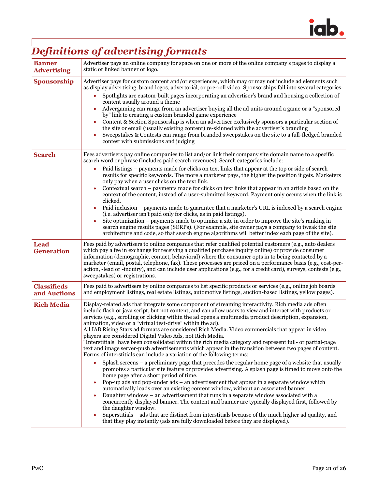

## *Definitions of advertising formats*

| <b>Banner</b><br><b>Advertising</b> | Advertiser pays an online company for space on one or more of the online company's pages to display a<br>static or linked banner or logo.                                                                                                                                                                                                                                                                                                                                                                                                                                                                                                                                                                                                                                                                                                                                                                                                                                                                                                                                                                                                                                                                                                                                                                                                                                                                                                                                                                                                                                                                                                                                                                          |  |  |  |
|-------------------------------------|--------------------------------------------------------------------------------------------------------------------------------------------------------------------------------------------------------------------------------------------------------------------------------------------------------------------------------------------------------------------------------------------------------------------------------------------------------------------------------------------------------------------------------------------------------------------------------------------------------------------------------------------------------------------------------------------------------------------------------------------------------------------------------------------------------------------------------------------------------------------------------------------------------------------------------------------------------------------------------------------------------------------------------------------------------------------------------------------------------------------------------------------------------------------------------------------------------------------------------------------------------------------------------------------------------------------------------------------------------------------------------------------------------------------------------------------------------------------------------------------------------------------------------------------------------------------------------------------------------------------------------------------------------------------------------------------------------------------|--|--|--|
| <b>Sponsorship</b>                  | Advertiser pays for custom content and/or experiences, which may or may not include ad elements such<br>as display advertising, brand logos, advertorial, or pre-roll video. Sponsorships fall into several categories:<br>Spotlights are custom-built pages incorporating an advertiser's brand and housing a collection of<br>content usually around a theme<br>Advergaming can range from an advertiser buying all the ad units around a game or a "sponsored<br>by" link to creating a custom branded game experience<br>Content & Section Sponsorship is when an advertiser exclusively sponsors a particular section of<br>the site or email (usually existing content) re-skinned with the advertiser's branding<br>Sweepstakes & Contests can range from branded sweepstakes on the site to a full-fledged branded<br>contest with submissions and judging                                                                                                                                                                                                                                                                                                                                                                                                                                                                                                                                                                                                                                                                                                                                                                                                                                                 |  |  |  |
| <b>Search</b>                       | Fees advertisers pay online companies to list and/or link their company site domain name to a specific<br>search word or phrase (includes paid search revenues). Search categories include:<br>Paid listings – payments made for clicks on text links that appear at the top or side of search<br>results for specific keywords. The more a marketer pays, the higher the position it gets. Marketers<br>only pay when a user clicks on the text link.<br>Contextual search – payments made for clicks on text links that appear in an article based on the<br>context of the content, instead of a user-submitted keyword. Payment only occurs when the link is<br>clicked.<br>Paid inclusion – payments made to guarantee that a marketer's URL is indexed by a search engine<br>(i.e. advertiser isn't paid only for clicks, as in paid listings).<br>Site optimization – payments made to optimize a site in order to improve the site's ranking in<br>search engine results pages (SERPs). (For example, site owner pays a company to tweak the site<br>architecture and code, so that search engine algorithms will better index each page of the site).                                                                                                                                                                                                                                                                                                                                                                                                                                                                                                                                                     |  |  |  |
| <b>Lead</b><br><b>Generation</b>    | Fees paid by advertisers to online companies that refer qualified potential customers (e.g., auto dealers<br>which pay a fee in exchange for receiving a qualified purchase inquiry online) or provide consumer<br>information (demographic, contact, behavioral) where the consumer opts in to being contacted by a<br>marketer (email, postal, telephone, fax). These processes are priced on a performance basis (e.g., cost-per-<br>action, -lead or -inquiry), and can include user applications (e.g., for a credit card), surveys, contests (e.g.,<br>sweepstakes) or registrations.                                                                                                                                                                                                                                                                                                                                                                                                                                                                                                                                                                                                                                                                                                                                                                                                                                                                                                                                                                                                                                                                                                                        |  |  |  |
| <b>Classifieds</b><br>and Auctions  | Fees paid to advertisers by online companies to list specific products or services (e.g., online job boards<br>and employment listings, real estate listings, automotive listings, auction-based listings, yellow pages).                                                                                                                                                                                                                                                                                                                                                                                                                                                                                                                                                                                                                                                                                                                                                                                                                                                                                                                                                                                                                                                                                                                                                                                                                                                                                                                                                                                                                                                                                          |  |  |  |
| <b>Rich Media</b>                   | Display-related ads that integrate some component of streaming interactivity. Rich media ads often<br>include flash or java script, but not content, and can allow users to view and interact with products or<br>services (e.g., scrolling or clicking within the ad opens a multimedia product description, expansion,<br>animation, video or a "virtual test-drive" within the ad).<br>All IAB Rising Stars ad formats are considered Rich Media. Video commercials that appear in video<br>players are considered Digital Video Ads, not Rich Media.<br>"Interstitials" have been consolidated within the rich media category and represent full- or partial-page<br>text and image server-push advertisements which appear in the transition between two pages of content.<br>Forms of interstitials can include a variation of the following terms:<br>Splash screens - a preliminary page that precedes the regular home page of a website that usually<br>promotes a particular site feature or provides advertising. A splash page is timed to move onto the<br>home page after a short period of time.<br>Pop-up ads and pop-under ads – an advertisement that appear in a separate window which<br>automatically loads over an existing content window, without an associated banner.<br>Daughter windows – an advertisement that runs in a separate window associated with a<br>concurrently displayed banner. The content and banner are typically displayed first, followed by<br>the daughter window.<br>Superstitials – ads that are distinct from interstitials because of the much higher ad quality, and<br>۰<br>that they play instantly (ads are fully downloaded before they are displayed). |  |  |  |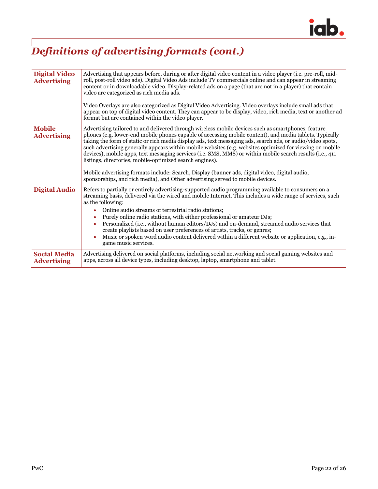

## *Definitions of advertising formats (cont.)*

| <b>Digital Video</b><br><b>Advertising</b> | Advertising that appears before, during or after digital video content in a video player (i.e. pre-roll, mid-<br>roll, post-roll video ads). Digital Video Ads include TV commercials online and can appear in streaming<br>content or in downloadable video. Display-related ads on a page (that are not in a player) that contain<br>video are categorized as rich media ads.<br>Video Overlays are also categorized as Digital Video Advertising. Video overlays include small ads that<br>appear on top of digital video content. They can appear to be display, video, rich media, text or another ad<br>format but are contained within the video player.                                                                                                                                      |  |
|--------------------------------------------|------------------------------------------------------------------------------------------------------------------------------------------------------------------------------------------------------------------------------------------------------------------------------------------------------------------------------------------------------------------------------------------------------------------------------------------------------------------------------------------------------------------------------------------------------------------------------------------------------------------------------------------------------------------------------------------------------------------------------------------------------------------------------------------------------|--|
| <b>Mobile</b><br><b>Advertising</b>        | Advertising tailored to and delivered through wireless mobile devices such as smartphones, feature<br>phones (e.g. lower-end mobile phones capable of accessing mobile content), and media tablets. Typically<br>taking the form of static or rich media display ads, text messaging ads, search ads, or audio/video spots,<br>such advertising generally appears within mobile websites (e.g. websites optimized for viewing on mobile<br>devices), mobile apps, text messaging services (i.e. SMS, MMS) or within mobile search results (i.e., 411<br>listings, directories, mobile-optimized search engines).<br>Mobile advertising formats include: Search, Display (banner ads, digital video, digital audio,<br>sponsorships, and rich media), and Other advertising served to mobile devices. |  |
| <b>Digital Audio</b>                       | Refers to partially or entirely advertising-supported audio programming available to consumers on a<br>streaming basis, delivered via the wired and mobile Internet. This includes a wide range of services, such<br>as the following:<br>Online audio streams of terrestrial radio stations;<br>Purely online radio stations, with either professional or amateur DJs;<br>Personalized (i.e., without human editors/DJs) and on-demand, streamed audio services that<br>create playlists based on user preferences of artists, tracks, or genres;<br>Music or spoken word audio content delivered within a different website or application, e.g., in-<br>game music services.                                                                                                                      |  |
| <b>Social Media</b><br><b>Advertising</b>  | Advertising delivered on social platforms, including social networking and social gaming websites and<br>apps, across all device types, including desktop, laptop, smartphone and tablet.                                                                                                                                                                                                                                                                                                                                                                                                                                                                                                                                                                                                            |  |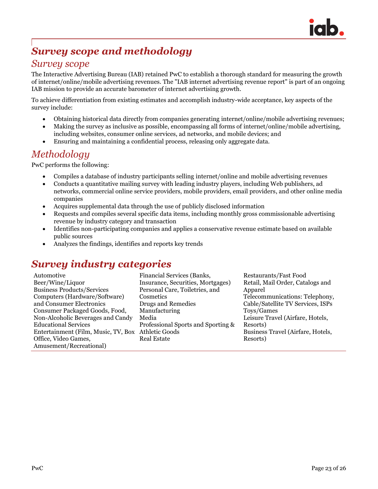

## *Survey scope and methodology*

### *Survey scope*

The Interactive Advertising Bureau (IAB) retained PwC to establish a thorough standard for measuring the growth of internet/online/mobile advertising revenues. The "IAB internet advertising revenue report" is part of an ongoing IAB mission to provide an accurate barometer of internet advertising growth.

To achieve differentiation from existing estimates and accomplish industry-wide acceptance, key aspects of the survey include:

- Obtaining historical data directly from companies generating internet/online/mobile advertising revenues;
- Making the survey as inclusive as possible, encompassing all forms of internet/online/mobile advertising, including websites, consumer online services, ad networks, and mobile devices; and
- Ensuring and maintaining a confidential process, releasing only aggregate data.

### *Methodology*

PwC performs the following:

- Compiles a database of industry participants selling internet/online and mobile advertising revenues
- Conducts a quantitative mailing survey with leading industry players, including Web publishers, ad networks, commercial online service providers, mobile providers, email providers, and other online media companies
- Acquires supplemental data through the use of publicly disclosed information
- Requests and compiles several specific data items, including monthly gross commissionable advertising revenue by industry category and transaction
- Identifies non-participating companies and applies a conservative revenue estimate based on available public sources
- Analyzes the findings, identifies and reports key trends

## *Survey industry categories*

| Financial Services (Banks,<br>Automotive                            | Res |
|---------------------------------------------------------------------|-----|
| Beer/Wine/Liquor<br>Insurance, Securities, Mortgages)               | Rei |
| <b>Business Products/Services</b><br>Personal Care, Toiletries, and | Ap  |
| Computers (Hardware/Software)<br>Cosmetics                          | Tel |
| and Consumer Electronics<br>Drugs and Remedies                      | Cal |
| Manufacturing<br>Consumer Packaged Goods, Food,                     | Toy |
| Non-Alcoholic Beverages and Candy<br>Media                          | Lei |
| <b>Educational Services</b><br>Professional Sports and Sporting &   | Res |
| Entertainment (Film, Music, TV, Box Athletic Goods                  | Bu  |
| Office, Video Games,<br><b>Real Estate</b>                          | Res |
| Amusement/Recreational)                                             |     |

staurants/Fast Food tail, Mail Order, Catalogs and parel ecommunications: Telephony, ble/Satellite TV Services, ISPs vs/Games sure Travel (Airfare, Hotels, sorts) siness Travel (Airfare, Hotels, sorts)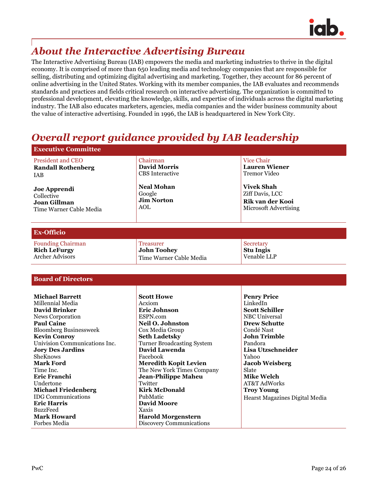

## *About the Interactive Advertising Bureau*

The Interactive Advertising Bureau (IAB) empowers the media and marketing industries to thrive in the digital economy. It is comprised of more than 650 leading media and technology companies that are responsible for selling, distributing and optimizing digital advertising and marketing. Together, they account for 86 percent of online advertising in the United States. Working with its member companies, the IAB evaluates and recommends standards and practices and fields critical research on interactive advertising. The organization is committed to professional development, elevating the knowledge, skills, and expertise of individuals across the digital marketing industry. The IAB also educates marketers, agencies, media companies and the wider business community about the value of interactive advertising. Founded in 1996, the IAB is headquartered in New York City.

### *Overall report guidance provided by IAB leadership*

| <b>Executive Committee</b>                                                                                                                                                                                                                                                                                                                                                                                                                   |                                                                                                                                                                                                                                                                                                                                                                                                                                           |                                                                                                                                                                                                                                                                                                                    |  |  |  |
|----------------------------------------------------------------------------------------------------------------------------------------------------------------------------------------------------------------------------------------------------------------------------------------------------------------------------------------------------------------------------------------------------------------------------------------------|-------------------------------------------------------------------------------------------------------------------------------------------------------------------------------------------------------------------------------------------------------------------------------------------------------------------------------------------------------------------------------------------------------------------------------------------|--------------------------------------------------------------------------------------------------------------------------------------------------------------------------------------------------------------------------------------------------------------------------------------------------------------------|--|--|--|
| <b>President and CEO</b><br><b>Randall Rothenberg</b><br>IAB                                                                                                                                                                                                                                                                                                                                                                                 | Chairman<br><b>David Morris</b><br><b>CBS</b> Interactive                                                                                                                                                                                                                                                                                                                                                                                 | <b>Vice Chair</b><br><b>Lauren Wiener</b><br><b>Tremor Video</b>                                                                                                                                                                                                                                                   |  |  |  |
| Joe Apprendi<br>Collective<br><b>Joan Gillman</b><br>Time Warner Cable Media                                                                                                                                                                                                                                                                                                                                                                 | <b>Neal Mohan</b><br>Google<br><b>Jim Norton</b><br><b>AOL</b>                                                                                                                                                                                                                                                                                                                                                                            | <b>Vivek Shah</b><br>Ziff Davis, LCC<br>Rik van der Kooi<br>Microsoft Advertising                                                                                                                                                                                                                                  |  |  |  |
| <b>Ex-Officio</b>                                                                                                                                                                                                                                                                                                                                                                                                                            |                                                                                                                                                                                                                                                                                                                                                                                                                                           |                                                                                                                                                                                                                                                                                                                    |  |  |  |
| <b>Founding Chairman</b><br><b>Rich LeFurgy</b><br><b>Archer Advisors</b>                                                                                                                                                                                                                                                                                                                                                                    | <b>Treasurer</b><br><b>John Toohey</b><br>Time Warner Cable Media                                                                                                                                                                                                                                                                                                                                                                         | Secretary<br><b>Stu Ingis</b><br>Venable LLP                                                                                                                                                                                                                                                                       |  |  |  |
| <b>Board of Directors</b>                                                                                                                                                                                                                                                                                                                                                                                                                    |                                                                                                                                                                                                                                                                                                                                                                                                                                           |                                                                                                                                                                                                                                                                                                                    |  |  |  |
| <b>Michael Barrett</b><br>Millennial Media<br><b>David Brinker</b><br>News Corporation<br><b>Paul Caine</b><br><b>Bloomberg Businessweek</b><br><b>Kevin Conroy</b><br>Univision Communications Inc.<br><b>Jory Des Jardins</b><br>SheKnows<br>Mark Ford<br>Time Inc.<br>Eric Franchi<br>Undertone<br><b>Michael Friedenberg</b><br><b>IDG</b> Communications<br><b>Eric Harris</b><br><b>BuzzFeed</b><br><b>Mark Howard</b><br>Forbes Media | <b>Scott Howe</b><br>Acxiom<br><b>Eric Johnson</b><br>ESPN.com<br>Neil O. Johnston<br>Cox Media Group<br><b>Seth Ladetsky</b><br><b>Turner Broadcasting System</b><br><b>David Lawenda</b><br>Facebook<br><b>Meredith Kopit Levien</b><br>The New York Times Company<br><b>Jean-Philippe Maheu</b><br>Twitter<br><b>Kirk McDonald</b><br>PubMatic<br><b>David Moore</b><br>Xaxis<br><b>Harold Morgenstern</b><br>Discovery Communications | <b>Penry Price</b><br>LinkedIn<br><b>Scott Schiller</b><br><b>NBC</b> Universal<br><b>Drew Schutte</b><br>Condé Nast<br><b>John Trimble</b><br>Pandora<br>Lisa Utzschneider<br>Yahoo<br><b>Jacob Weisberg</b><br>Slate<br><b>Mike Welch</b><br>AT&T AdWorks<br><b>Troy Young</b><br>Hearst Magazines Digital Media |  |  |  |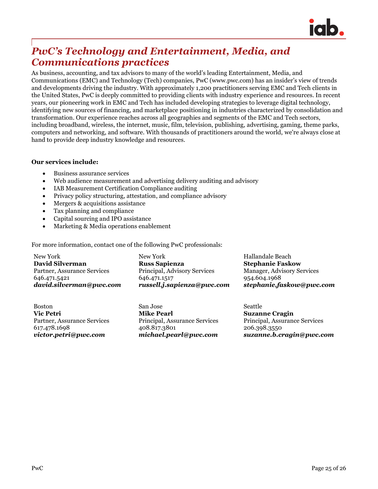

### *PwC's Technology and Entertainment, Media, and Communications practices*

As business, accounting, and tax advisors to many of the world's leading Entertainment, Media, and Communications (EMC) and Technology (Tech) companies, PwC (www.pwc.com) has an insider's view of trends and developments driving the industry. With approximately 1,200 practitioners serving EMC and Tech clients in the United States, PwC is deeply committed to providing clients with industry experience and resources. In recent years, our pioneering work in EMC and Tech has included developing strategies to leverage digital technology, identifying new sources of financing, and marketplace positioning in industries characterized by consolidation and transformation. Our experience reaches across all geographies and segments of the EMC and Tech sectors, including broadband, wireless, the internet, music, film, television, publishing, advertising, gaming, theme parks, computers and networking, and software. With thousands of practitioners around the world, we're always close at hand to provide deep industry knowledge and resources.

#### **Our services include:**

- Business assurance services
- Web audience measurement and advertising delivery auditing and advisory
- IAB Measurement Certification Compliance auditing
- Privacy policy structuring, attestation, and compliance advisory
- Mergers & acquisitions assistance
- Tax planning and compliance
- Capital sourcing and IPO assistance
- Marketing & Media operations enablement

For more information, contact one of the following PwC professionals:

New York **David Silverman** Partner, Assurance Services 646.471.5421 *[david.silverman@pwc.com](mailto:david.silverman@pwc.com)*

New York **Russ Sapienza**  Principal, Advisory Services 646.471.1517 *[russell.j.sapienza@pwc.com](mailto:russell.j.sapienza@pwc.com)* Hallandale Beach **Stephanie Faskow** Manager, Advisory Services 954.604.1968 *[stephanie.faskow@pwc.com](mailto:stephanie.faskow@pwc.com)*

Boston **Vic Petri** Partner, Assurance Services 617.478.1698 *[victor.petri@pwc.com](mailto:victor.petri@pwc.com)*

San Jose **Mike Pearl** Principal, Assurance Services 408.817.3801 *[michael.pearl@pwc.com](mailto:michael.pearl@pwc.com)* Seattle **Suzanne Cragin** Principal, Assurance Services 206.398.3550 *suzanne.b.cragin@pwc.com*